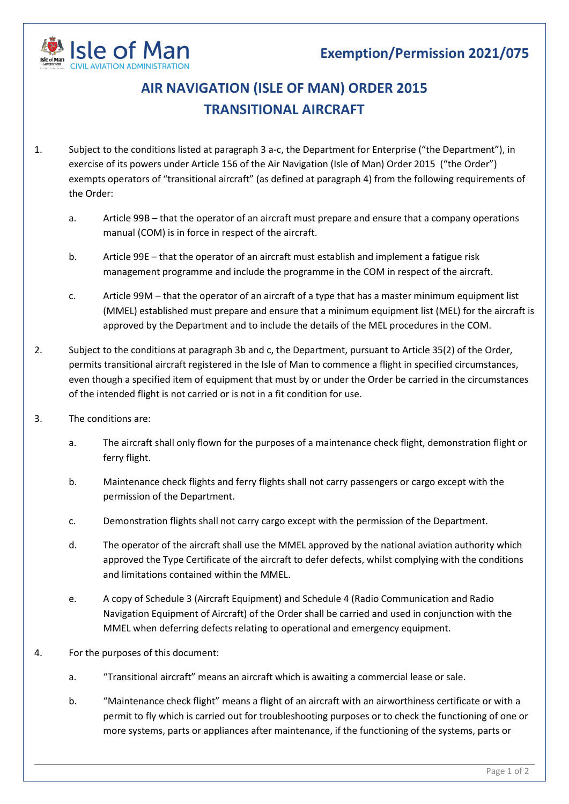

## **AIR NAVIGATION (ISLE OF MAN) ORDER 2015 TRANSITIONAL AIRCRAFT**

- 1. Subject to the conditions listed at paragraph 3 a-c, the Department for Enterprise ("the Department"), in exercise of its powers under Article 156 of the Air Navigation (Isle of Man) Order 2015 ("the Order") exempts operators of "transitional aircraft" (as defined at paragraph 4) from the following requirements of the Order:
	- a. Article 99B that the operator of an aircraft must prepare and ensure that a company operations manual (COM) is in force in respect of the aircraft.
	- b. Article 99E that the operator of an aircraft must establish and implement a fatigue risk management programme and include the programme in the COM in respect of the aircraft.
	- c. Article 99M that the operator of an aircraft of a type that has a master minimum equipment list (MMEL) established must prepare and ensure that a minimum equipment list (MEL) for the aircraft is approved by the Department and to include the details of the MEL procedures in the COM.
- 2. Subject to the conditions at paragraph 3b and c, the Department, pursuant to Article 35(2) of the Order, permits transitional aircraft registered in the Isle of Man to commence a flight in specified circumstances, even though a specified item of equipment that must by or under the Order be carried in the circumstances of the intended flight is not carried or is not in a fit condition for use.
- 3. The conditions are:
	- a. The aircraft shall only flown for the purposes of a maintenance check flight, demonstration flight or ferry flight.
	- b. Maintenance check flights and ferry flights shall not carry passengers or cargo except with the permission of the Department.
	- c. Demonstration flights shall not carry cargo except with the permission of the Department.
	- d. The operator of the aircraft shall use the MMEL approved by the national aviation authority which approved the Type Certificate of the aircraft to defer defects, whilst complying with the conditions and limitations contained within the MMEL.
	- e. A copy of Schedule 3 (Aircraft Equipment) and Schedule 4 (Radio Communication and Radio Navigation Equipment of Aircraft) of the Order shall be carried and used in conjunction with the MMEL when deferring defects relating to operational and emergency equipment.
- 4. For the purposes of this document:
	- a. "Transitional aircraft" means an aircraft which is awaiting a commercial lease or sale.
	- b. "Maintenance check flight" means a flight of an aircraft with an airworthiness certificate or with a permit to fly which is carried out for troubleshooting purposes or to check the functioning of one or more systems, parts or appliances after maintenance, if the functioning of the systems, parts or